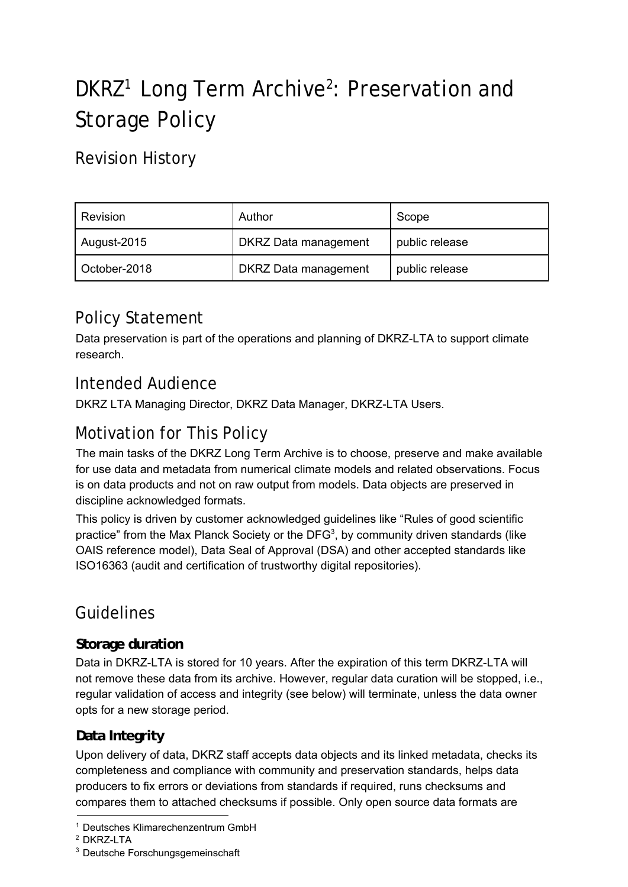# DKRZ<sup>1</sup> Long Term Archive<sup>2</sup>: Preservation and Storage Policy

Revision History

| Revision     | Author                      | Scope          |
|--------------|-----------------------------|----------------|
| August-2015  | <b>DKRZ Data management</b> | public release |
| October-2018 | <b>DKRZ Data management</b> | public release |

# Policy Statement

Data preservation is part of the operations and planning of DKRZ-LTA to support climate research.

## Intended Audience

DKRZ LTA Managing Director, DKRZ Data Manager, DKRZ-LTA Users.

# Motivation for This Policy

The main tasks of the DKRZ Long Term Archive is to choose, preserve and make available for use data and metadata from numerical climate models and related observations. Focus is on data products and not on raw output from models. Data objects are preserved in discipline acknowledged formats.

This policy is driven by customer acknowledged guidelines like "Rules of good scientific practice" from the Max Planck Society or the DFG<sup>3</sup>, by community driven standards (like OAIS reference model), Data Seal of Approval (DSA) and other accepted standards like ISO16363 (audit and certification of trustworthy digital repositories).

# Guidelines

## **Storage duration**

Data in DKRZ-LTA is stored for 10 years. After the expiration of this term DKRZ-LTA will not remove these data from its archive. However, regular data curation will be stopped, i.e., regular validation of access and integrity (see below) will terminate, unless the data owner opts for a new storage period.

## **Data Integrity**

Upon delivery of data, DKRZ staff accepts data objects and its linked metadata, checks its completeness and compliance with community and preservation standards, helps data producers to fix errors or deviations from standards if required, runs checksums and compares them to attached checksums if possible. Only open source data formats are

<sup>&</sup>lt;sup>1</sup> Deutsches Klimarechenzentrum GmbH

<sup>2</sup> DKRZ-LTA

<sup>3</sup> Deutsche Forschungsgemeinschaft